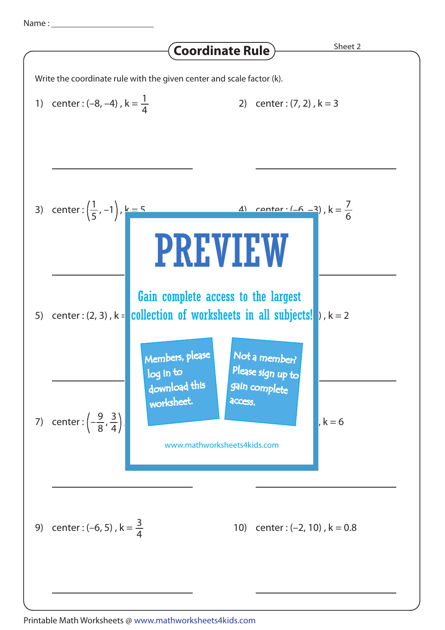